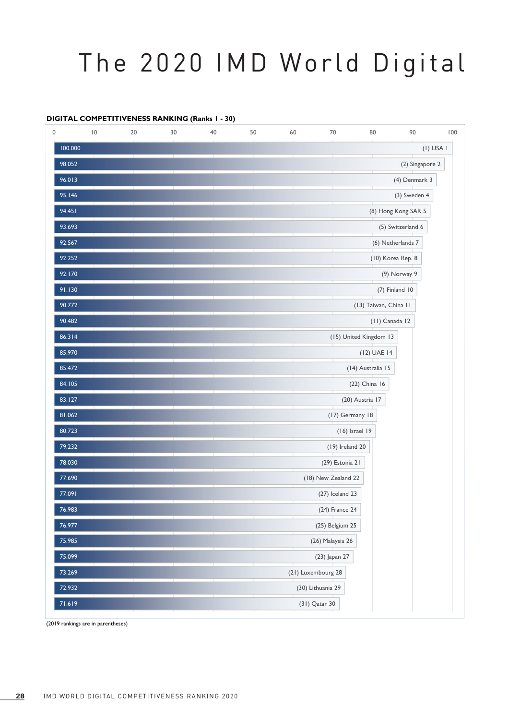## The 2020 IMD World Digital

## **DIGITAL COMPETITIVENESS RANKING (Ranks 1 - 30)**

| 0       | $\overline{10}$ | 20 | 30 | 40 | 50 | 60 | 70                  | 80                     | 90                  | 100         |
|---------|-----------------|----|----|----|----|----|---------------------|------------------------|---------------------|-------------|
| 100.000 |                 |    |    |    |    |    |                     |                        |                     | $(I)$ USA I |
| 98.052  |                 |    |    |    |    |    |                     |                        | (2) Singapore 2     |             |
| 96.013  |                 |    |    |    |    |    |                     |                        | (4) Denmark 3       |             |
| 95.146  |                 |    |    |    |    |    |                     |                        | (3) Sweden 4        |             |
| 94.451  |                 |    |    |    |    |    |                     |                        | (8) Hong Kong SAR 5 |             |
| 93.693  |                 |    |    |    |    |    |                     |                        | (5) Switzerland 6   |             |
| 92.567  |                 |    |    |    |    |    |                     |                        | (6) Netherlands 7   |             |
| 92.252  |                 |    |    |    |    |    |                     |                        | (10) Korea Rep. 8   |             |
| 92.170  |                 |    |    |    |    |    |                     |                        | (9) Norway 9        |             |
| 91.130  |                 |    |    |    |    |    |                     |                        | (7) Finland 10      |             |
| 90.772  |                 |    |    |    |    |    |                     | (13) Taiwan, China II  |                     |             |
| 90.482  |                 |    |    |    |    |    |                     | (11) Canada 12         |                     |             |
| 86.314  |                 |    |    |    |    |    |                     | (15) United Kingdom 13 |                     |             |
| 85.970  |                 |    |    |    |    |    |                     | (12) UAE 14            |                     |             |
| 85.472  |                 |    |    |    |    |    |                     | (14) Australia 15      |                     |             |
| 84.105  |                 |    |    |    |    |    |                     | (22) China 16          |                     |             |
| 83.127  |                 |    |    |    |    |    |                     | (20) Austria 17        |                     |             |
| 81.062  |                 |    |    |    |    |    | (17) Germany 18     |                        |                     |             |
| 80.723  |                 |    |    |    |    |    | $(16)$ Israel 19    |                        |                     |             |
| 79.232  |                 |    |    |    |    |    | $(19)$ Ireland 20   |                        |                     |             |
| 78.030  |                 |    |    |    |    |    | (29) Estonia 21     |                        |                     |             |
| 77.690  |                 |    |    |    |    |    | (18) New Zealand 22 |                        |                     |             |
| 77.091  |                 |    |    |    |    |    | $(27)$ Iceland 23   |                        |                     |             |
| 76.983  |                 |    |    |    |    |    | (24) France 24      |                        |                     |             |
| 76.977  |                 |    |    |    |    |    | (25) Belgium 25     |                        |                     |             |
| 75.985  |                 |    |    |    |    |    | (26) Malaysia 26    |                        |                     |             |
| 75.099  |                 |    |    |    |    |    | (23) Japan 27       |                        |                     |             |
| 73.269  |                 |    |    |    |    |    | (21) Luxembourg 28  |                        |                     |             |
| 72.932  |                 |    |    |    |    |    | (30) Lithuania 29   |                        |                     |             |
| 71.619  |                 |    |    |    |    |    | (31) Qatar 30       |                        |                     |             |

(2019 rankings are in parentheses)